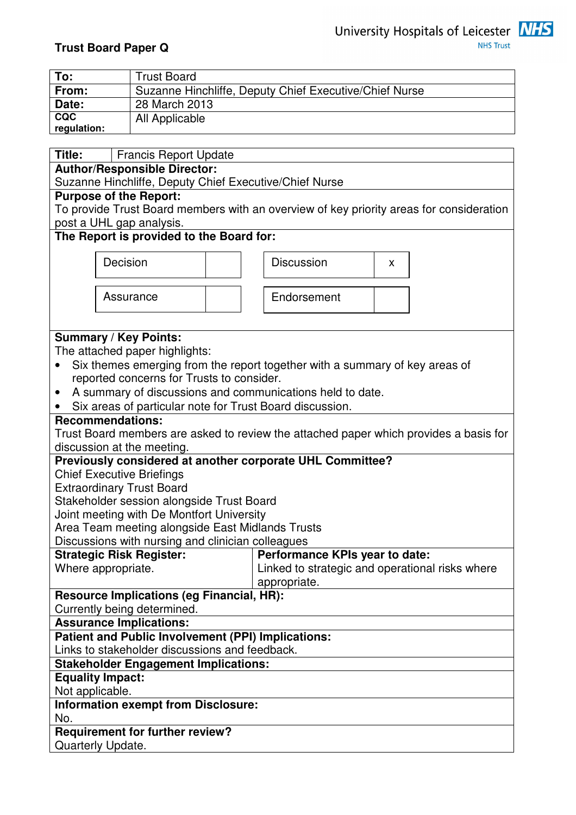

**NHS Trust** 

# **Trust Board Paper Q**

| To:         | <b>Trust Board</b>                                     |
|-------------|--------------------------------------------------------|
| From:       | Suzanne Hinchliffe, Deputy Chief Executive/Chief Nurse |
| Date:       | 28 March 2013                                          |
| <b>CQC</b>  | All Applicable                                         |
| regulation: |                                                        |
|             |                                                        |
| · Title     | <b>Francis Report Undate</b>                           |

**Triancis Report Author/Responsible Director:** 

Suzanne Hinchliffe, Deputy Chief Executive/Chief Nurse

### **Purpose of the Report:**

To provide Trust Board members with an overview of key priority areas for consideration post a UHL gap analysis.

## **The Report is provided to the Board for:**



# **Summary / Key Points:**

The attached paper highlights:

- Six themes emerging from the report together with a summary of key areas of reported concerns for Trusts to consider.
- A summary of discussions and communications held to date.
- Six areas of particular note for Trust Board discussion.

### **Recommendations:**

Trust Board members are asked to review the attached paper which provides a basis for discussion at the meeting.

### **Previously considered at another corporate UHL Committee?**

Chief Executive Briefings

Extraordinary Trust Board

Stakeholder session alongside Trust Board

Joint meeting with De Montfort University

Area Team meeting alongside East Midlands Trusts

Discussions with nursing and clinician colleagues

| <b>Strategic Risk Register:</b>                  | <b>Performance KPIs year to date:</b>           |
|--------------------------------------------------|-------------------------------------------------|
| Where appropriate.                               | Linked to strategic and operational risks where |
|                                                  | appropriate.                                    |
| <b>Resource Implications (eq Financial, HR):</b> |                                                 |
| Currently being determined.                      |                                                 |

**Assurance Implications:** 

# **Patient and Public Involvement (PPI) Implications:**

Links to stakeholder discussions and feedback.

**Stakeholder Engagement Implications:** 

**Equality Impact:** 

Not applicable.

# **Information exempt from Disclosure:**

No.

**Requirement for further review?** 

Quarterly Update.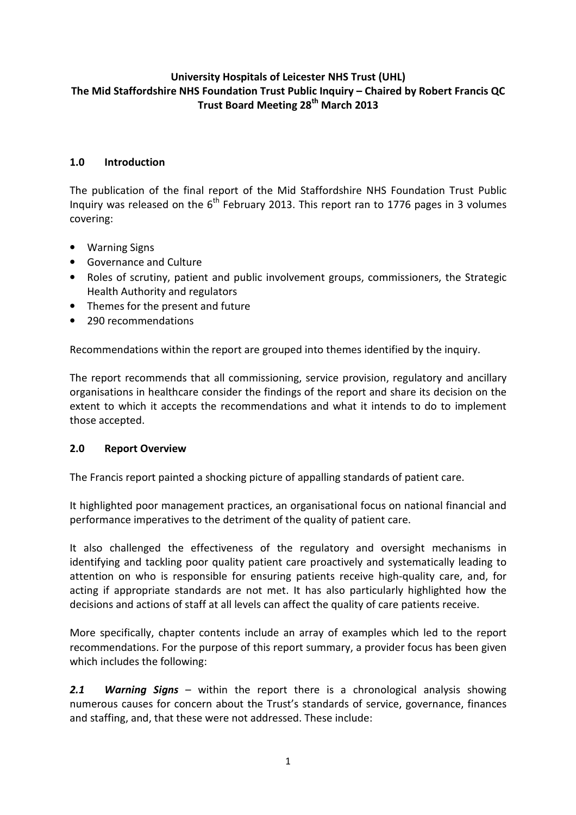## University Hospitals of Leicester NHS Trust (UHL) The Mid Staffordshire NHS Foundation Trust Public Inquiry – Chaired by Robert Francis QC Trust Board Meeting 28<sup>th</sup> March 2013

### 1.0 Introduction

The publication of the final report of the Mid Staffordshire NHS Foundation Trust Public Inquiry was released on the  $6<sup>th</sup>$  February 2013. This report ran to 1776 pages in 3 volumes covering:

- Warning Signs
- Governance and Culture
- Roles of scrutiny, patient and public involvement groups, commissioners, the Strategic Health Authority and regulators
- Themes for the present and future
- 290 recommendations

Recommendations within the report are grouped into themes identified by the inquiry.

The report recommends that all commissioning, service provision, regulatory and ancillary organisations in healthcare consider the findings of the report and share its decision on the extent to which it accepts the recommendations and what it intends to do to implement those accepted.

### 2.0 Report Overview

The Francis report painted a shocking picture of appalling standards of patient care.

It highlighted poor management practices, an organisational focus on national financial and performance imperatives to the detriment of the quality of patient care.

It also challenged the effectiveness of the regulatory and oversight mechanisms in identifying and tackling poor quality patient care proactively and systematically leading to attention on who is responsible for ensuring patients receive high-quality care, and, for acting if appropriate standards are not met. It has also particularly highlighted how the decisions and actions of staff at all levels can affect the quality of care patients receive.

More specifically, chapter contents include an array of examples which led to the report recommendations. For the purpose of this report summary, a provider focus has been given which includes the following:

**2.1 Warning Signs –** within the report there is a chronological analysis showing numerous causes for concern about the Trust's standards of service, governance, finances and staffing, and, that these were not addressed. These include: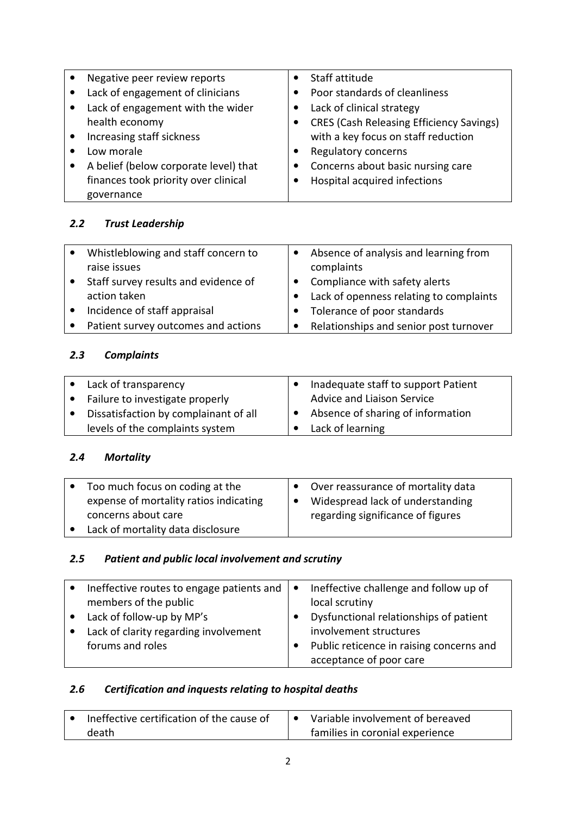| Negative peer review reports          |           | Staff attitude                                  |
|---------------------------------------|-----------|-------------------------------------------------|
| Lack of engagement of clinicians      |           | Poor standards of cleanliness                   |
| Lack of engagement with the wider     |           | Lack of clinical strategy                       |
| health economy                        |           | <b>CRES (Cash Releasing Efficiency Savings)</b> |
| Increasing staff sickness             |           | with a key focus on staff reduction             |
| Low morale                            |           | Regulatory concerns                             |
| A belief (below corporate level) that | $\bullet$ | Concerns about basic nursing care               |
| finances took priority over clinical  |           | Hospital acquired infections                    |
| governance                            |           |                                                 |

# 2.2 Trust Leadership

| Whistleblowing and staff concern to  |           | Absence of analysis and learning from   |
|--------------------------------------|-----------|-----------------------------------------|
| raise issues                         |           | complaints                              |
| Staff survey results and evidence of |           | Compliance with safety alerts           |
| action taken                         |           | Lack of openness relating to complaints |
| Incidence of staff appraisal         |           | Tolerance of poor standards             |
| Patient survey outcomes and actions  | $\bullet$ | Relationships and senior post turnover  |

# 2.3 Complaints

| Lack of transparency                  | Inadequate staff to support Patient         |
|---------------------------------------|---------------------------------------------|
| Failure to investigate properly       | Advice and Liaison Service                  |
| Dissatisfaction by complainant of all | $\bullet$ Absence of sharing of information |
| levels of the complaints system       | Lack of learning                            |

# 2.4 Mortality

| Too much focus on coding at the        | Over reassurance of mortality data |
|----------------------------------------|------------------------------------|
| expense of mortality ratios indicating | Widespread lack of understanding   |
| concerns about care                    | regarding significance of figures  |
| Lack of mortality data disclosure      |                                    |

# 2.5 Patient and public local involvement and scrutiny

| Ineffective routes to engage patients and $\vert \bullet \vert$ | Ineffective challenge and follow up of   |
|-----------------------------------------------------------------|------------------------------------------|
| members of the public                                           | local scrutiny                           |
| Lack of follow-up by MP's                                       | Dysfunctional relationships of patient   |
| Lack of clarity regarding involvement                           | involvement structures                   |
| forums and roles                                                | Public reticence in raising concerns and |
|                                                                 | acceptance of poor care                  |

# 2.6 Certification and inquests relating to hospital deaths

| Ineffective certification of the cause of | Variable involvement of bereaved |
|-------------------------------------------|----------------------------------|
| death                                     | families in coronial experience  |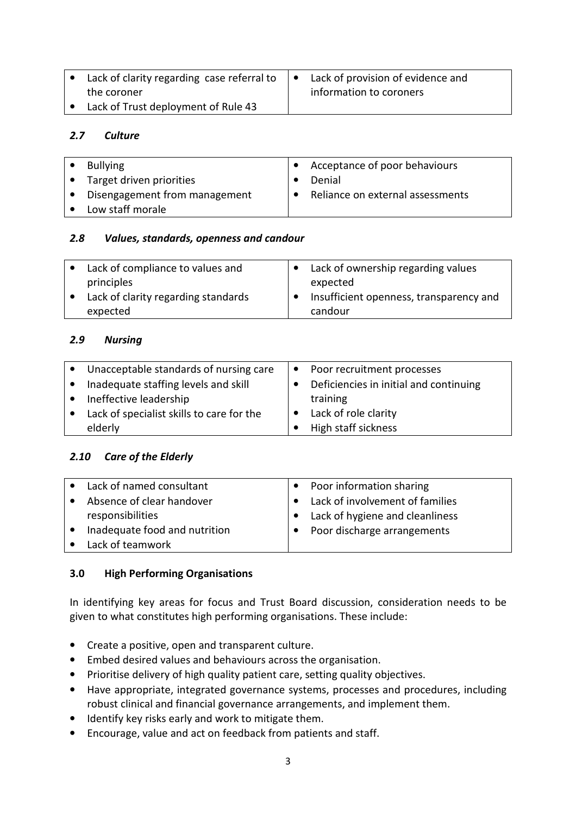| Lack of clarity regarding case referral to | $\bullet$ | Lack of provision of evidence and |  |
|--------------------------------------------|-----------|-----------------------------------|--|
| the coroner                                |           | information to coroners           |  |
| • Lack of Trust deployment of Rule 43      |           |                                   |  |

#### 2.7 Culture

|           | <b>Bullying</b>               | Acceptance of poor behaviours    |
|-----------|-------------------------------|----------------------------------|
| $\bullet$ | Target driven priorities      | Denial                           |
|           | Disengagement from management | Reliance on external assessments |
|           | Low staff morale              |                                  |

#### 2.8 Values, standards, openness and candour

| Lack of compliance to values and    | Lack of ownership regarding values      |
|-------------------------------------|-----------------------------------------|
| principles                          | expected                                |
| Lack of clarity regarding standards | Insufficient openness, transparency and |
| expected                            | candour                                 |

#### 2.9 Nursing

|           | Unacceptable standards of nursing care    | $\bullet$ Poor recruitment processes   |
|-----------|-------------------------------------------|----------------------------------------|
| $\bullet$ | Inadequate staffing levels and skill      | Deficiencies in initial and continuing |
|           | Ineffective leadership                    | training                               |
|           | Lack of specialist skills to care for the | Lack of role clarity                   |
|           | elderly                                   | High staff sickness                    |

### 2.10 Care of the Elderly

| • Lack of named consultant    | • Poor information sharing      |
|-------------------------------|---------------------------------|
| Absence of clear handover     | Lack of involvement of families |
| responsibilities              | Lack of hygiene and cleanliness |
| Inadequate food and nutrition | Poor discharge arrangements     |
| Lack of teamwork              |                                 |

### 3.0 High Performing Organisations

In identifying key areas for focus and Trust Board discussion, consideration needs to be given to what constitutes high performing organisations. These include:

- Create a positive, open and transparent culture.
- Embed desired values and behaviours across the organisation.
- Prioritise delivery of high quality patient care, setting quality objectives.
- Have appropriate, integrated governance systems, processes and procedures, including robust clinical and financial governance arrangements, and implement them.
- Identify key risks early and work to mitigate them.
- Encourage, value and act on feedback from patients and staff.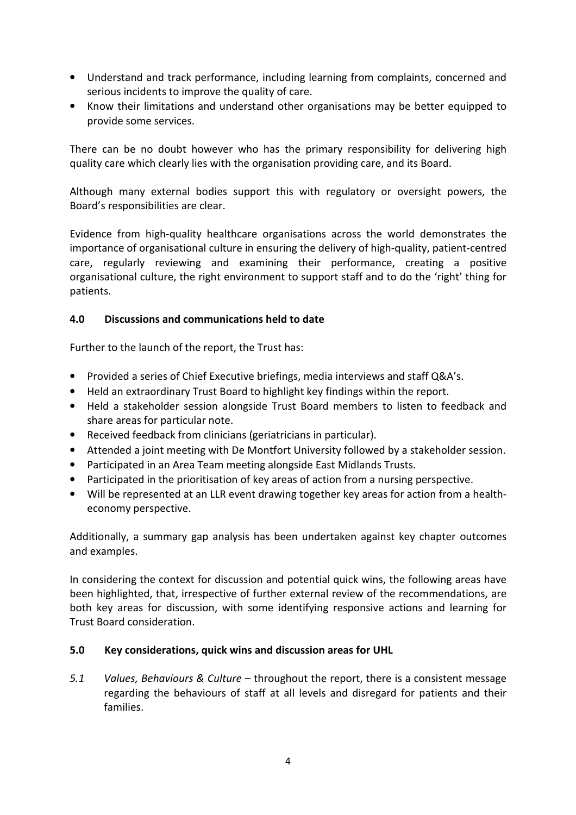- Understand and track performance, including learning from complaints, concerned and serious incidents to improve the quality of care.
- Know their limitations and understand other organisations may be better equipped to provide some services.

There can be no doubt however who has the primary responsibility for delivering high quality care which clearly lies with the organisation providing care, and its Board.

Although many external bodies support this with regulatory or oversight powers, the Board's responsibilities are clear.

Evidence from high-quality healthcare organisations across the world demonstrates the importance of organisational culture in ensuring the delivery of high-quality, patient-centred care, regularly reviewing and examining their performance, creating a positive organisational culture, the right environment to support staff and to do the 'right' thing for patients.

#### 4.0 Discussions and communications held to date

Further to the launch of the report, the Trust has:

- Provided a series of Chief Executive briefings, media interviews and staff Q&A's.
- Held an extraordinary Trust Board to highlight key findings within the report.
- Held a stakeholder session alongside Trust Board members to listen to feedback and share areas for particular note.
- Received feedback from clinicians (geriatricians in particular).
- Attended a joint meeting with De Montfort University followed by a stakeholder session.
- Participated in an Area Team meeting alongside East Midlands Trusts.
- Participated in the prioritisation of key areas of action from a nursing perspective.
- Will be represented at an LLR event drawing together key areas for action from a healtheconomy perspective.

Additionally, a summary gap analysis has been undertaken against key chapter outcomes and examples.

In considering the context for discussion and potential quick wins, the following areas have been highlighted, that, irrespective of further external review of the recommendations, are both key areas for discussion, with some identifying responsive actions and learning for Trust Board consideration.

#### 5.0 Key considerations, quick wins and discussion areas for UHL

5.1 Values, Behaviours & Culture – throughout the report, there is a consistent message regarding the behaviours of staff at all levels and disregard for patients and their families.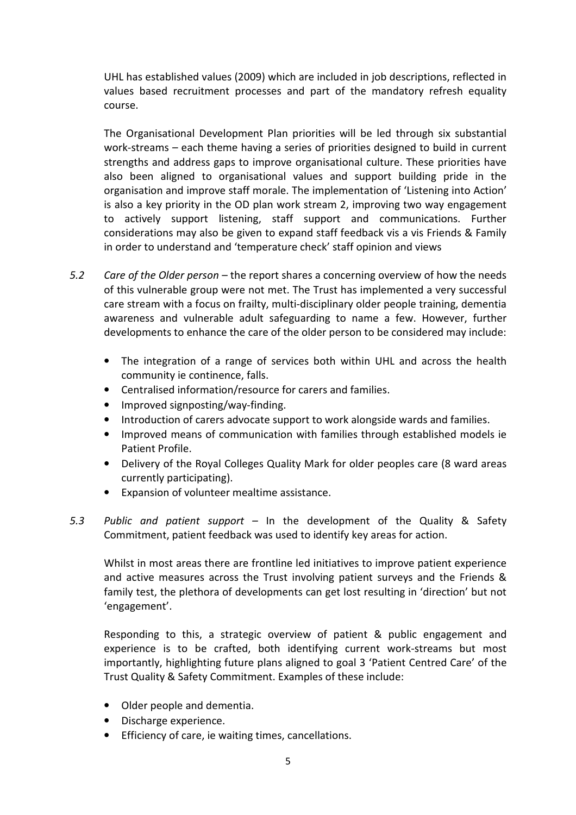UHL has established values (2009) which are included in job descriptions, reflected in values based recruitment processes and part of the mandatory refresh equality course.

The Organisational Development Plan priorities will be led through six substantial work-streams – each theme having a series of priorities designed to build in current strengths and address gaps to improve organisational culture. These priorities have also been aligned to organisational values and support building pride in the organisation and improve staff morale. The implementation of 'Listening into Action' is also a key priority in the OD plan work stream 2, improving two way engagement to actively support listening, staff support and communications. Further considerations may also be given to expand staff feedback vis a vis Friends & Family in order to understand and 'temperature check' staff opinion and views

- 5.2 Care of the Older person the report shares a concerning overview of how the needs of this vulnerable group were not met. The Trust has implemented a very successful care stream with a focus on frailty, multi-disciplinary older people training, dementia awareness and vulnerable adult safeguarding to name a few. However, further developments to enhance the care of the older person to be considered may include:
	- The integration of a range of services both within UHL and across the health community ie continence, falls.
	- Centralised information/resource for carers and families.
	- Improved signposting/way-finding.
	- Introduction of carers advocate support to work alongside wards and families.
	- Improved means of communication with families through established models ie Patient Profile.
	- Delivery of the Royal Colleges Quality Mark for older peoples care (8 ward areas currently participating).
	- Expansion of volunteer mealtime assistance.
- 5.3 Public and patient support In the development of the Quality & Safety Commitment, patient feedback was used to identify key areas for action.

Whilst in most areas there are frontline led initiatives to improve patient experience and active measures across the Trust involving patient surveys and the Friends & family test, the plethora of developments can get lost resulting in 'direction' but not 'engagement'.

Responding to this, a strategic overview of patient & public engagement and experience is to be crafted, both identifying current work-streams but most importantly, highlighting future plans aligned to goal 3 'Patient Centred Care' of the Trust Quality & Safety Commitment. Examples of these include:

- Older people and dementia.
- Discharge experience.
- Efficiency of care, ie waiting times, cancellations.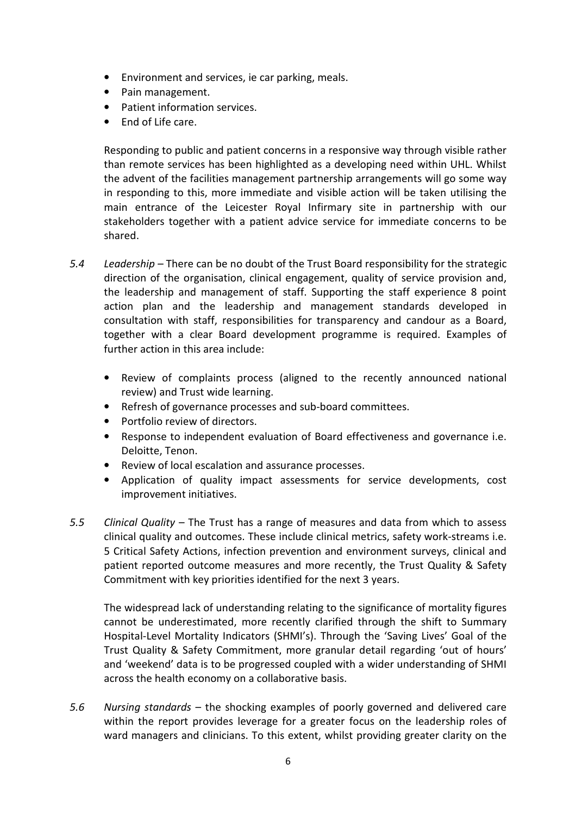- Environment and services, ie car parking, meals.
- Pain management.
- Patient information services.
- End of Life care.

Responding to public and patient concerns in a responsive way through visible rather than remote services has been highlighted as a developing need within UHL. Whilst the advent of the facilities management partnership arrangements will go some way in responding to this, more immediate and visible action will be taken utilising the main entrance of the Leicester Royal Infirmary site in partnership with our stakeholders together with a patient advice service for immediate concerns to be shared.

- 5.4 Leadership There can be no doubt of the Trust Board responsibility for the strategic direction of the organisation, clinical engagement, quality of service provision and, the leadership and management of staff. Supporting the staff experience 8 point action plan and the leadership and management standards developed in consultation with staff, responsibilities for transparency and candour as a Board, together with a clear Board development programme is required. Examples of further action in this area include:
	- Review of complaints process (aligned to the recently announced national review) and Trust wide learning.
	- Refresh of governance processes and sub-board committees.
	- Portfolio review of directors.
	- Response to independent evaluation of Board effectiveness and governance i.e. Deloitte, Tenon.
	- Review of local escalation and assurance processes.
	- Application of quality impact assessments for service developments, cost improvement initiatives.
- 5.5 Clinical Quality The Trust has a range of measures and data from which to assess clinical quality and outcomes. These include clinical metrics, safety work-streams i.e. 5 Critical Safety Actions, infection prevention and environment surveys, clinical and patient reported outcome measures and more recently, the Trust Quality & Safety Commitment with key priorities identified for the next 3 years.

The widespread lack of understanding relating to the significance of mortality figures cannot be underestimated, more recently clarified through the shift to Summary Hospital-Level Mortality Indicators (SHMI's). Through the 'Saving Lives' Goal of the Trust Quality & Safety Commitment, more granular detail regarding 'out of hours' and 'weekend' data is to be progressed coupled with a wider understanding of SHMI across the health economy on a collaborative basis.

5.6 Nursing standards – the shocking examples of poorly governed and delivered care within the report provides leverage for a greater focus on the leadership roles of ward managers and clinicians. To this extent, whilst providing greater clarity on the